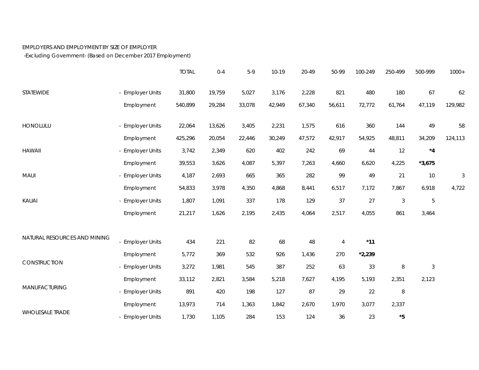## EMPLOYERS AND EMPLOYMENT BY SIZE OF EMPLOYER

-Excluding Government- (Based on December 2017 Employment)

|                              |                       | <b>TOTAL</b> | $0 - 4$ | $5-9$  | $10-19$ | 20-49  | 50-99          | 100-249  | 250-499        | 500-999     | $1000+$ |
|------------------------------|-----------------------|--------------|---------|--------|---------|--------|----------------|----------|----------------|-------------|---------|
| STATEWIDE                    | - Employer Units      | 31,800       | 19,759  | 5,027  | 3,176   | 2,228  | 821            | 480      | 180            | 67          | 62      |
|                              | Employment            | 540,899      | 29,284  | 33,078 | 42,949  | 67,340 | 56,611         | 72,772   | 61,764         | 47,119      | 129,982 |
| HONOLULU                     | - Employer Units      | 22,064       | 13,626  | 3,405  | 2,231   | 1,575  | 616            | 360      | 144            | 49          | 58      |
|                              | Employment            | 425,296      | 20,054  | 22,446 | 30,249  | 47,572 | 42,917         | 54,925   | 48,811         | 34,209      | 124,113 |
| <b>HAWAII</b>                | - Employer Units      | 3,742        | 2,349   | 620    | 402     | 242    | 69             | 44       | 12             | $*_{4}$     |         |
|                              | Employment            | 39,553       | 3,626   | 4,087  | 5,397   | 7,263  | 4,660          | 6,620    | 4,225          | $*3,675$    |         |
| MAUI                         | - Employer Units      | 4,187        | 2,693   | 665    | 365     | 282    | 99             | 49       | 21             | $10$        | 3       |
|                              | Employment            | 54,833       | 3,978   | 4,350  | 4,868   | 8,441  | 6,517          | 7,172    | 7,867          | 6,918       | 4,722   |
| KAUAI                        | - Employer Units      | 1,807        | 1,091   | 337    | 178     | 129    | 37             | 27       | $\mathfrak{Z}$ | $\mathbf 5$ |         |
|                              | Employment            | 21,217       | 1,626   | 2,195  | 2,435   | 4,064  | 2,517          | 4,055    | 861            | 3,464       |         |
| NATURAL RESOURCES AND MINING |                       |              |         |        |         |        |                |          |                |             |         |
|                              | - Employer Units      | 434          | 221     | 82     | 68      | 48     | $\overline{4}$ | $*11$    |                |             |         |
| CONSTRUCTION                 | Employment            | 5,772        | 369     | 532    | 926     | 1,436  | 270            | $*2,239$ |                |             |         |
|                              | - Employer Units      | 3,272        | 1,981   | 545    | 387     | 252    | 63             | 33       | $\, 8$         | $\sqrt{3}$  |         |
| MANUFACTURING                | Employment            | 33,112       | 2,821   | 3,584  | 5,218   | 7,627  | 4,195          | 5,193    | 2,351          | 2,123       |         |
|                              | - Employer Units      | 891          | 420     | 198    | 127     | 87     | 29             | 22       | $\,8\,$        |             |         |
| <b>WHOLESALE TRADE</b>       | Employment            | 13,973       | 714     | 1,363  | 1,842   | 2,670  | 1,970          | 3,077    | 2,337          |             |         |
|                              | <b>Employer Units</b> | 1,730        | 1,105   | 284    | 153     | 124    | 36             | 23       | *5             |             |         |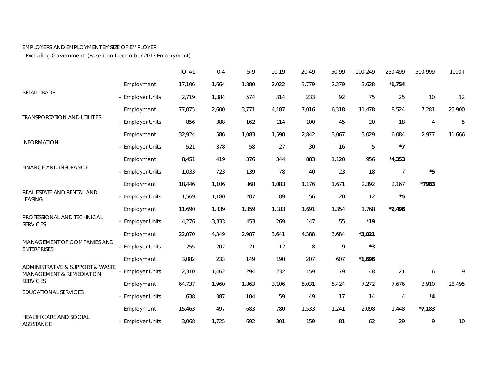## EMPLOYERS AND EMPLOYMENT BY SIZE OF EMPLOYER

-Excluding Government- (Based on December 2017 Employment)

|                                                                                                                |                       | <b>TOTAL</b> | $0 - 4$ | $5-9$ | $10-19$ | 20-49 | 50-99       | 100-249     | 250-499        | 500-999        | $1000+$     |
|----------------------------------------------------------------------------------------------------------------|-----------------------|--------------|---------|-------|---------|-------|-------------|-------------|----------------|----------------|-------------|
| RETAIL TRADE                                                                                                   | Employment            | 17,106       | 1,664   | 1,880 | 2,022   | 3,779 | 2,379       | 3,628       | $*1,754$       |                |             |
|                                                                                                                | - Employer Units      | 2,719        | 1,384   | 574   | 314     | 233   | 92          | 75          | 25             | $10$           | 12          |
| <b>TRANSPORTATION AND UTILITIES</b>                                                                            | Employment            | 77,075       | 2,600   | 3,771 | 4,187   | 7,016 | 6,318       | 11,478      | 8,524          | 7,281          | 25,900      |
|                                                                                                                | - Employer Units      | 856          | 388     | 162   | 114     | 100   | 45          | 20          | 18             | $\overline{4}$ | $\mathbf 5$ |
|                                                                                                                | Employment            | 32,924       | 586     | 1,083 | 1,590   | 2,842 | 3,067       | 3,029       | 6,084          | 2,977          | 11,666      |
| <b>INFORMATION</b>                                                                                             | - Employer Units      | 521          | 378     | 58    | 27      | 30    | 16          | $\mathbf 5$ | $^{\star}7$    |                |             |
| <b>FINANCE AND INSURANCE</b>                                                                                   | Employment            | 8,451        | 419     | 376   | 344     | 883   | 1,120       | 956         | $*4,353$       |                |             |
|                                                                                                                | - Employer Units      | 1,033        | 723     | 139   | 78      | 40    | 23          | 18          | $\overline{7}$ | $^{\star}5$    |             |
| REAL ESTATE AND RENTAL AND<br><b>LEASING</b>                                                                   | Employment            | 18,446       | 1,106   | 868   | 1,083   | 1,176 | 1,671       | 2,392       | 2,167          | *7983          |             |
|                                                                                                                | - Employer Units      | 1,569        | 1,180   | 207   | 89      | 56    | 20          | 12          | $^{\star}5$    |                |             |
|                                                                                                                | Employment            | 11,690       | 1,839   | 1,359 | 1,183   | 1,691 | 1,354       | 1,768       | $*2,496$       |                |             |
| PROFESSIONAL AND TECHNICAL<br><b>SERVICES</b>                                                                  | - Employer Units      | 4,276        | 3,333   | 453   | 269     | 147   | 55          | $*19$       |                |                |             |
| MANAGEMENT OF COMPANIES AND<br><b>ENTERPRISES</b>                                                              | Employment            | 22,070       | 4,349   | 2,987 | 3,641   | 4,388 | 3,684       | $*3,021$    |                |                |             |
|                                                                                                                | <b>Employer Units</b> | 255          | 202     | 21    | 12      | 8     | $\mathsf q$ | $^{\star}3$ |                |                |             |
|                                                                                                                | Employment            | 3,082        | 233     | 149   | 190     | 207   | 607         | $*1,696$    |                |                |             |
| ADMINISTRATIVE & SUPPORT & WASTE<br>MANAGEMENT & REMEDIATION<br><b>SERVICES</b><br><b>EDUCATIONAL SERVICES</b> | <b>Employer Units</b> | 2,310        | 1,462   | 294   | 232     | 159   | 79          | 48          | 21             | 6              | 9           |
|                                                                                                                | Employment            | 64,737       | 1,960   | 1,863 | 3,106   | 5,031 | 5,424       | 7,272       | 7,676          | 3,910          | 28,495      |
|                                                                                                                | - Employer Units      | 638          | 387     | 104   | 59      | 49    | 17          | 14          | $\sqrt{4}$     | $*_{4}$        |             |
| HEALTH CARE AND SOCIAL<br><b>ASSISTANCE</b>                                                                    | Employment            | 15,463       | 497     | 683   | 780     | 1,533 | 1,241       | 2,098       | 1,448          | $*7,183$       |             |
|                                                                                                                | - Employer Units      | 3,068        | 1,725   | 692   | 301     | 159   | 81          | 62          | 29             | $\mathsf q$    | 10          |